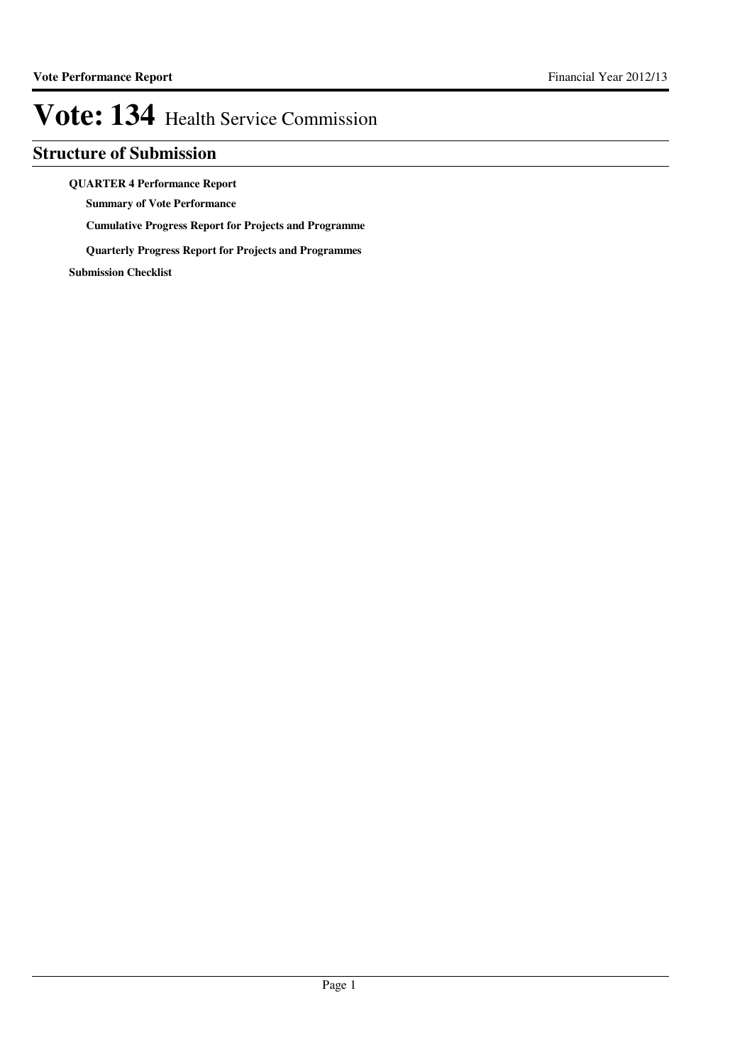## **Structure of Submission**

**QUARTER 4 Performance Report**

**Summary of Vote Performance**

**Cumulative Progress Report for Projects and Programme**

**Quarterly Progress Report for Projects and Programmes**

**Submission Checklist**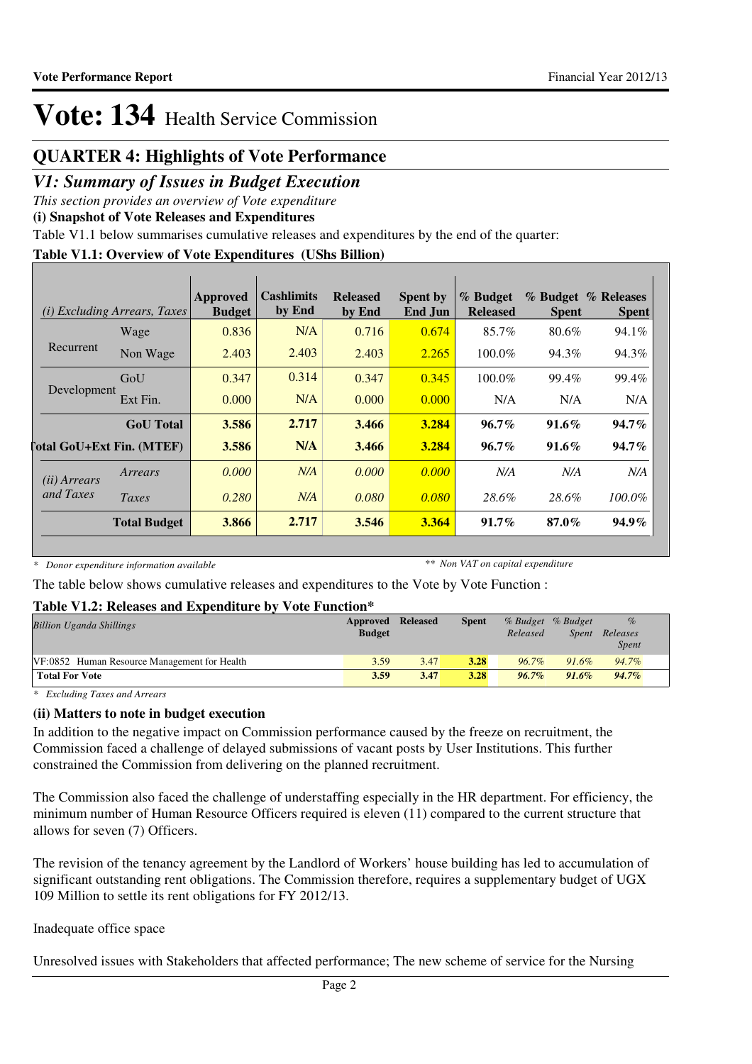## **QUARTER 4: Highlights of Vote Performance**

## *V1: Summary of Issues in Budget Execution*

*This section provides an overview of Vote expenditure*

**(i) Snapshot of Vote Releases and Expenditures**

Table V1.1 below summarises cumulative releases and expenditures by the end of the quarter:

## **Table V1.1: Overview of Vote Expenditures (UShs Billion)**

|                       | <i>(i)</i> Excluding Arrears, Taxes | Approved<br><b>Budget</b> | <b>Cashlimits</b><br>by End | <b>Released</b><br>by End | <b>Spent by</b><br>End Jun | % Budget<br><b>Released</b> | <b>Spent</b> | % Budget % Releases<br><b>Spent</b> |
|-----------------------|-------------------------------------|---------------------------|-----------------------------|---------------------------|----------------------------|-----------------------------|--------------|-------------------------------------|
|                       | Wage                                | 0.836                     | N/A                         | 0.716                     | 0.674                      | 85.7%                       | 80.6%        | 94.1%                               |
| Recurrent             | Non Wage                            | 2.403                     | 2.403                       | 2.403                     | 2.265                      | $100.0\%$                   | 94.3%        | 94.3%                               |
|                       | GoU                                 | 0.347                     | 0.314                       | 0.347                     | 0.345                      | 100.0%                      | 99.4%        | 99.4%                               |
| Development           | Ext Fin.                            | 0.000                     | N/A                         | 0.000                     | 0.000                      | N/A                         | N/A          | N/A                                 |
|                       | <b>GoU</b> Total                    | 3.586                     | 2.717                       | 3.466                     | 3.284                      | $96.7\%$                    | $91.6\%$     | $94.7\%$                            |
|                       | <b>Total GoU+Ext Fin. (MTEF)</b>    | 3.586                     | N/A                         | 3.466                     | 3.284                      | $96.7\%$                    | $91.6\%$     | $94.7\%$                            |
| ( <i>ii</i> ) Arrears | Arrears                             | 0.000                     | N/A                         | 0.000                     | 0.000                      | N/A                         | N/A          | N/A                                 |
| and Taxes             | Taxes                               | 0.280                     | N/A                         | 0.080                     | 0.080                      | 28.6%                       | 28.6%        | $100.0\%$                           |
|                       | <b>Total Budget</b>                 | 3.866                     | 2.717                       | 3.546                     | 3.364                      | $91.7\%$                    | $87.0\%$     | $94.9\%$                            |

*\* Donor expenditure information available*

*\*\* Non VAT on capital expenditure*

The table below shows cumulative releases and expenditures to the Vote by Vote Function :

## **Table V1.2: Releases and Expenditure by Vote Function\***

| <b>Billion Uganda Shillings</b>              | Approved Released<br><b>Budget</b> |      | <b>Spent</b> | % Budget % Budget<br>Released | Spent    | $\%$<br>Releases<br><b>Spent</b> |
|----------------------------------------------|------------------------------------|------|--------------|-------------------------------|----------|----------------------------------|
| VF:0852 Human Resource Management for Health | 3.59                               | 3.47 | 3.28         | $96.7\%$                      | $91.6\%$ | 94.7%                            |
| <b>Total For Vote</b>                        | 3.59                               | 3.47 | 3.28         | $96.7\%$                      | $91.6\%$ | $94.7\%$                         |

*\* Excluding Taxes and Arrears*

## **(ii) Matters to note in budget execution**

In addition to the negative impact on Commission performance caused by the freeze on recruitment, the Commission faced a challenge of delayed submissions of vacant posts by User Institutions. This further constrained the Commission from delivering on the planned recruitment.

The Commission also faced the challenge of understaffing especially in the HR department. For efficiency, the minimum number of Human Resource Officers required is eleven (11) compared to the current structure that allows for seven (7) Officers.

The revision of the tenancy agreement by the Landlord of Workers' house building has led to accumulation of significant outstanding rent obligations. The Commission therefore, requires a supplementary budget of UGX 109 Million to settle its rent obligations for FY 2012/13.

## Inadequate office space

Unresolved issues with Stakeholders that affected performance; The new scheme of service for the Nursing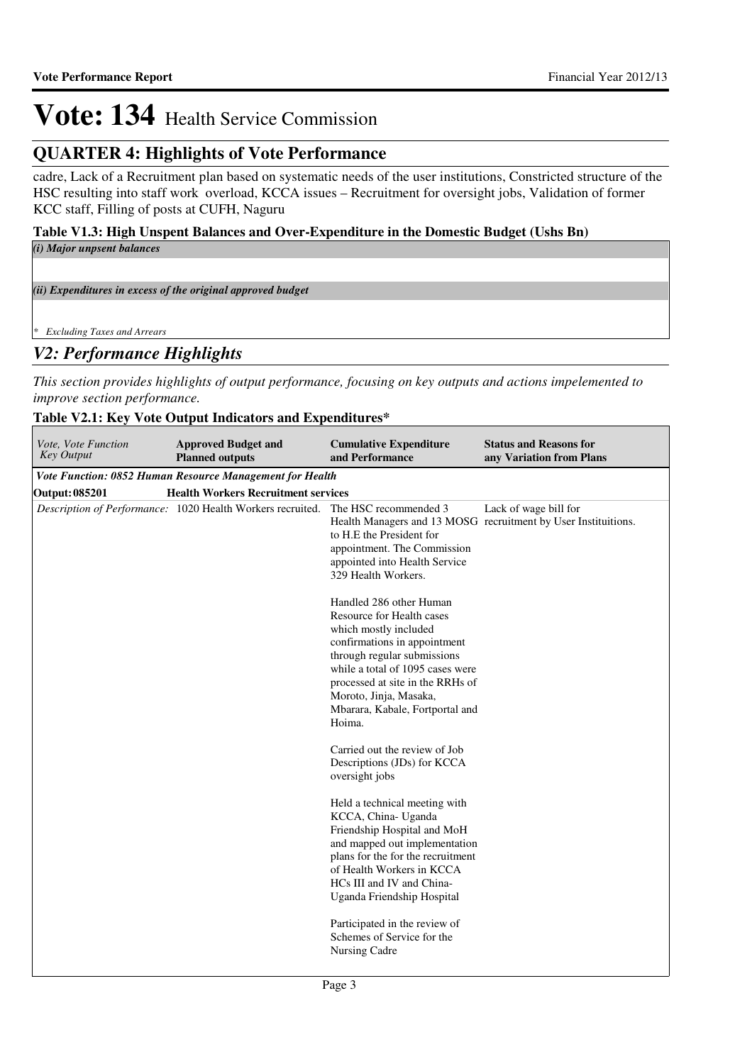## **QUARTER 4: Highlights of Vote Performance**

cadre, Lack of a Recruitment plan based on systematic needs of the user institutions, Constricted structure of the HSC resulting into staff work overload, KCCA issues – Recruitment for oversight jobs, Validation of former KCC staff, Filling of posts at CUFH, Naguru

## **Table V1.3: High Unspent Balances and Over-Expenditure in the Domestic Budget (Ushs Bn)** *(i) Major unpsent balances*

*(ii) Expenditures in excess of the original approved budget*

*\* Excluding Taxes and Arrears*

## *V2: Performance Highlights*

*This section provides highlights of output performance, focusing on key outputs and actions impelemented to improve section performance.*

## **Table V2.1: Key Vote Output Indicators and Expenditures\***

| Vote, Vote Function<br><b>Key Output</b> | <b>Approved Budget and</b><br><b>Planned outputs</b>       | <b>Cumulative Expenditure</b><br>and Performance                                                                                                                                                                                                                                            | <b>Status and Reasons for</b><br>any Variation from Plans                               |
|------------------------------------------|------------------------------------------------------------|---------------------------------------------------------------------------------------------------------------------------------------------------------------------------------------------------------------------------------------------------------------------------------------------|-----------------------------------------------------------------------------------------|
|                                          | Vote Function: 0852 Human Resource Management for Health   |                                                                                                                                                                                                                                                                                             |                                                                                         |
| Output: 085201                           | <b>Health Workers Recruitment services</b>                 |                                                                                                                                                                                                                                                                                             |                                                                                         |
|                                          | Description of Performance: 1020 Health Workers recruited. | The HSC recommended 3<br>to H.E the President for<br>appointment. The Commission<br>appointed into Health Service<br>329 Health Workers.                                                                                                                                                    | Lack of wage bill for<br>Health Managers and 13 MOSG recruitment by User Instituitions. |
|                                          |                                                            | Handled 286 other Human<br>Resource for Health cases<br>which mostly included<br>confirmations in appointment<br>through regular submissions<br>while a total of 1095 cases were<br>processed at site in the RRHs of<br>Moroto, Jinja, Masaka,<br>Mbarara, Kabale, Fortportal and<br>Hoima. |                                                                                         |
|                                          |                                                            | Carried out the review of Job<br>Descriptions (JDs) for KCCA<br>oversight jobs                                                                                                                                                                                                              |                                                                                         |
|                                          |                                                            | Held a technical meeting with<br>KCCA, China- Uganda<br>Friendship Hospital and MoH<br>and mapped out implementation<br>plans for the for the recruitment<br>of Health Workers in KCCA<br>HCs III and IV and China-<br>Uganda Friendship Hospital                                           |                                                                                         |
|                                          |                                                            | Participated in the review of<br>Schemes of Service for the<br>Nursing Cadre                                                                                                                                                                                                                |                                                                                         |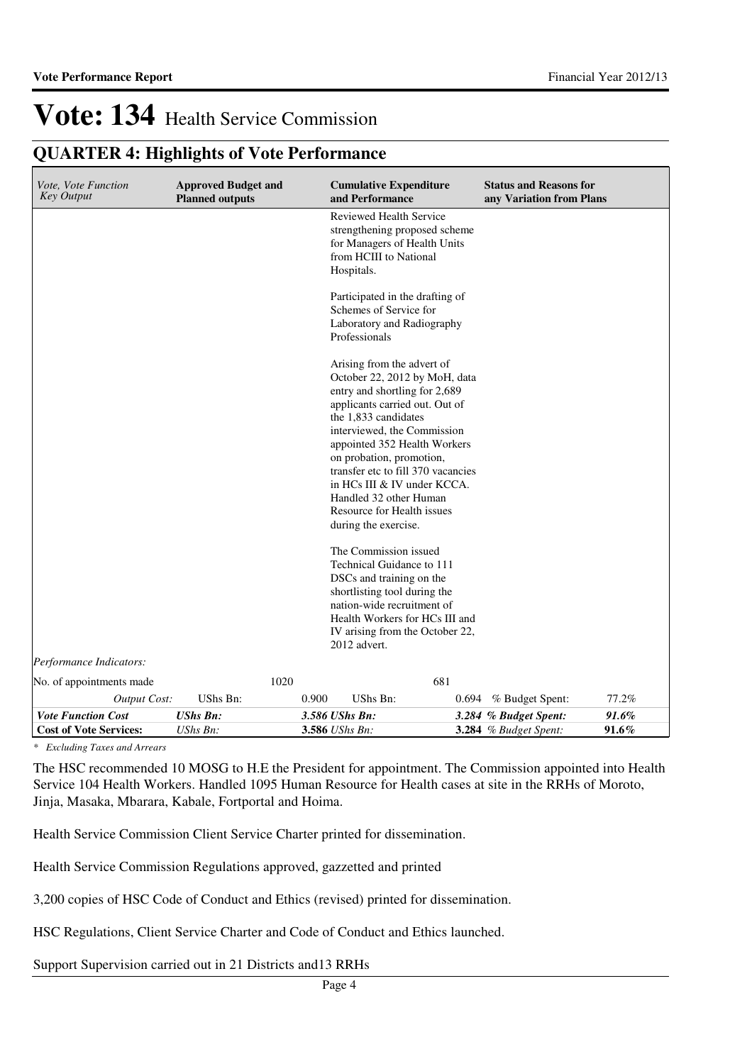## **QUARTER 4: Highlights of Vote Performance**

| <b>Planned outputs</b>   |          |          |                                                                                                                                                                                                                                                                                                                                                                                                                                                                                                                                                                                                                                                                                                                                       |                                                                                                                                                                                                                                                                                                                                                                                                                  |
|--------------------------|----------|----------|---------------------------------------------------------------------------------------------------------------------------------------------------------------------------------------------------------------------------------------------------------------------------------------------------------------------------------------------------------------------------------------------------------------------------------------------------------------------------------------------------------------------------------------------------------------------------------------------------------------------------------------------------------------------------------------------------------------------------------------|------------------------------------------------------------------------------------------------------------------------------------------------------------------------------------------------------------------------------------------------------------------------------------------------------------------------------------------------------------------------------------------------------------------|
|                          |          |          |                                                                                                                                                                                                                                                                                                                                                                                                                                                                                                                                                                                                                                                                                                                                       |                                                                                                                                                                                                                                                                                                                                                                                                                  |
|                          |          |          |                                                                                                                                                                                                                                                                                                                                                                                                                                                                                                                                                                                                                                                                                                                                       |                                                                                                                                                                                                                                                                                                                                                                                                                  |
|                          |          |          |                                                                                                                                                                                                                                                                                                                                                                                                                                                                                                                                                                                                                                                                                                                                       |                                                                                                                                                                                                                                                                                                                                                                                                                  |
|                          |          |          |                                                                                                                                                                                                                                                                                                                                                                                                                                                                                                                                                                                                                                                                                                                                       |                                                                                                                                                                                                                                                                                                                                                                                                                  |
|                          |          |          |                                                                                                                                                                                                                                                                                                                                                                                                                                                                                                                                                                                                                                                                                                                                       |                                                                                                                                                                                                                                                                                                                                                                                                                  |
|                          |          | 681      |                                                                                                                                                                                                                                                                                                                                                                                                                                                                                                                                                                                                                                                                                                                                       |                                                                                                                                                                                                                                                                                                                                                                                                                  |
| UShs Bn:<br>Output Cost: | 0.900    | UShs Bn: |                                                                                                                                                                                                                                                                                                                                                                                                                                                                                                                                                                                                                                                                                                                                       | 77.2%                                                                                                                                                                                                                                                                                                                                                                                                            |
| <b>UShs Bn:</b>          |          |          |                                                                                                                                                                                                                                                                                                                                                                                                                                                                                                                                                                                                                                                                                                                                       | 91.6%<br>91.6%                                                                                                                                                                                                                                                                                                                                                                                                   |
|                          | UShs Bn: | 1020     | and Performance<br>Reviewed Health Service<br>for Managers of Health Units<br>from HCIII to National<br>Hospitals.<br>Participated in the drafting of<br>Schemes of Service for<br>Laboratory and Radiography<br>Professionals<br>Arising from the advert of<br>entry and shortling for 2,689<br>applicants carried out. Out of<br>the 1,833 candidates<br>interviewed, the Commission<br>on probation, promotion,<br>in HCs III & IV under KCCA.<br>Handled 32 other Human<br>Resource for Health issues<br>during the exercise.<br>The Commission issued<br>Technical Guidance to 111<br>DSCs and training on the<br>shortlisting tool during the<br>nation-wide recruitment of<br>2012 advert.<br>3.586 UShs Bn:<br>3.586 UShs Bn: | <b>Approved Budget and</b><br><b>Cumulative Expenditure</b><br><b>Status and Reasons for</b><br>any Variation from Plans<br>strengthening proposed scheme<br>October 22, 2012 by MoH, data<br>appointed 352 Health Workers<br>transfer etc to fill 370 vacancies<br>Health Workers for HCs III and<br>IV arising from the October 22,<br>0.694 % Budget Spent:<br>3.284 % Budget Spent:<br>3.284 % Budget Spent: |

*\* Excluding Taxes and Arrears*

The HSC recommended 10 MOSG to H.E the President for appointment. The Commission appointed into Health Service 104 Health Workers. Handled 1095 Human Resource for Health cases at site in the RRHs of Moroto, Jinja, Masaka, Mbarara, Kabale, Fortportal and Hoima.

Health Service Commission Client Service Charter printed for dissemination.

Health Service Commission Regulations approved, gazzetted and printed

3,200 copies of HSC Code of Conduct and Ethics (revised) printed for dissemination.

HSC Regulations, Client Service Charter and Code of Conduct and Ethics launched.

Support Supervision carried out in 21 Districts and13 RRHs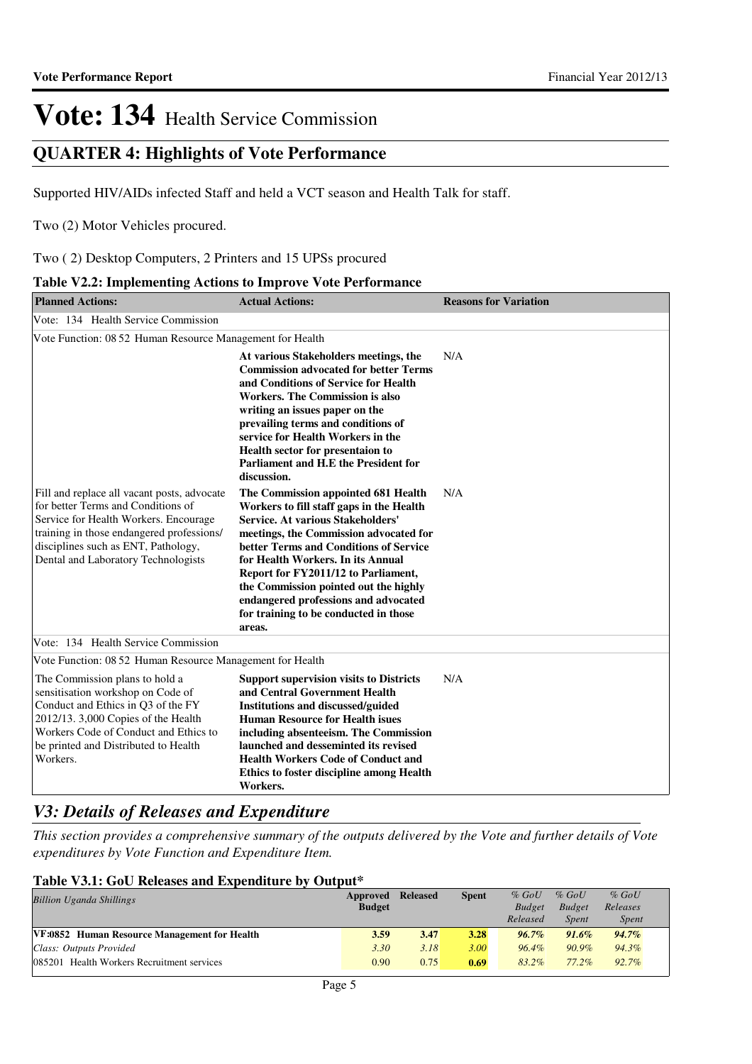## **QUARTER 4: Highlights of Vote Performance**

Supported HIV/AIDs infected Staff and held a VCT season and Health Talk for staff.

Two (2) Motor Vehicles procured.

Two ( 2) Desktop Computers, 2 Printers and 15 UPSs procured

|  |  | Table V2.2: Implementing Actions to Improve Vote Performance |
|--|--|--------------------------------------------------------------|
|  |  |                                                              |

| <b>Planned Actions:</b>                                                                                                                                                                                                                               | <b>Actual Actions:</b>                                                                                                                                                                                                                                                                                                                                                                                                          | <b>Reasons for Variation</b> |
|-------------------------------------------------------------------------------------------------------------------------------------------------------------------------------------------------------------------------------------------------------|---------------------------------------------------------------------------------------------------------------------------------------------------------------------------------------------------------------------------------------------------------------------------------------------------------------------------------------------------------------------------------------------------------------------------------|------------------------------|
| Vote: 134 Health Service Commission                                                                                                                                                                                                                   |                                                                                                                                                                                                                                                                                                                                                                                                                                 |                              |
| Vote Function: 08 52 Human Resource Management for Health                                                                                                                                                                                             |                                                                                                                                                                                                                                                                                                                                                                                                                                 |                              |
|                                                                                                                                                                                                                                                       | At various Stakeholders meetings, the<br><b>Commission advocated for better Terms</b><br>and Conditions of Service for Health<br><b>Workers. The Commission is also</b><br>writing an issues paper on the<br>prevailing terms and conditions of<br>service for Health Workers in the<br>Health sector for presentaion to<br>Parliament and H.E the President for<br>discussion.                                                 | N/A                          |
| Fill and replace all vacant posts, advocate<br>for better Terms and Conditions of<br>Service for Health Workers. Encourage<br>training in those endangered professions/<br>disciplines such as ENT, Pathology,<br>Dental and Laboratory Technologists | The Commission appointed 681 Health<br>Workers to fill staff gaps in the Health<br><b>Service. At various Stakeholders'</b><br>meetings, the Commission advocated for<br>better Terms and Conditions of Service<br>for Health Workers. In its Annual<br>Report for FY2011/12 to Parliament,<br>the Commission pointed out the highly<br>endangered professions and advocated<br>for training to be conducted in those<br>areas. | N/A                          |
| Vote: 134 Health Service Commission                                                                                                                                                                                                                   |                                                                                                                                                                                                                                                                                                                                                                                                                                 |                              |
| Vote Function: 08 52 Human Resource Management for Health                                                                                                                                                                                             |                                                                                                                                                                                                                                                                                                                                                                                                                                 |                              |
| The Commission plans to hold a<br>sensitisation workshop on Code of<br>Conduct and Ethics in Q3 of the FY<br>2012/13. 3,000 Copies of the Health<br>Workers Code of Conduct and Ethics to<br>be printed and Distributed to Health<br>Workers.         | <b>Support supervision visits to Districts</b><br>and Central Government Health<br><b>Institutions and discussed/guided</b><br><b>Human Resource for Health isues</b><br>including absenteeism. The Commission<br>launched and desseminted its revised<br><b>Health Workers Code of Conduct and</b><br><b>Ethics to foster discipline among Health</b><br>Workers.                                                              | N/A                          |

## *V3: Details of Releases and Expenditure*

*This section provides a comprehensive summary of the outputs delivered by the Vote and further details of Vote expenditures by Vote Function and Expenditure Item.*

## **Table V3.1: GoU Releases and Expenditure by Output\***

| <b>Billion Uganda Shillings</b>              | Approved Released<br><b>Budget</b> |      | <b>Spent</b> | $%$ GoU<br><b>Budget</b> | $%$ GoU<br><b>Budget</b> | $%$ GoU<br>Releases |  |
|----------------------------------------------|------------------------------------|------|--------------|--------------------------|--------------------------|---------------------|--|
|                                              |                                    |      |              | Released                 | <b>Spent</b>             | <i>Spent</i>        |  |
| VF:0852 Human Resource Management for Health | 3.59                               | 3.47 | 3.28         | $96.7\%$                 | $91.6\%$                 | $94.7\%$            |  |
| Class: Outputs Provided                      | 3.30                               | 3.18 | 3.00         | $96.4\%$                 | $90.9\%$                 | $94.3\%$            |  |
| 085201 Health Workers Recruitment services   | 0.90                               | 0.75 | 0.69         | $83.2\%$                 | $77.2\%$                 | $92.7\%$            |  |
|                                              |                                    |      |              |                          |                          |                     |  |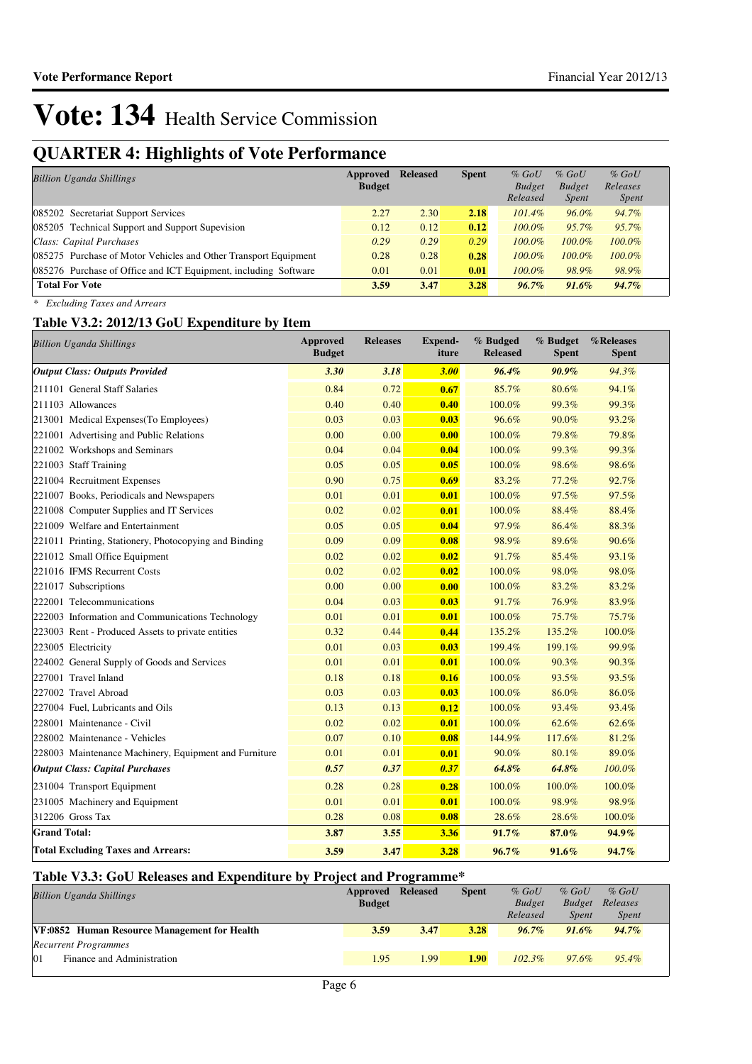## **QUARTER 4: Highlights of Vote Performance**

| <b>Billion Uganda Shillings</b>                                 | Approved<br><b>Budget</b> | <b>Released</b> | <b>Spent</b> | $%$ GoU<br><b>Budget</b><br>Released | $%$ GoU<br><b>Budget</b><br><i>Spent</i> | $%$ GoU<br>Releases<br><i>Spent</i> |
|-----------------------------------------------------------------|---------------------------|-----------------|--------------|--------------------------------------|------------------------------------------|-------------------------------------|
| 085202 Secretariat Support Services                             | 2.27                      | 2.30            | 2.18         | $101.4\%$                            | $96.0\%$                                 | 94.7%                               |
| 085205 Technical Support and Support Supevision                 | 0.12                      | 0.12            | 0.12         | $100.0\%$                            | 95.7%                                    | 95.7%                               |
| Class: Capital Purchases                                        | 0.29                      | 0.29            | 0.29         | $100.0\%$                            | $100.0\%$                                | $100.0\%$                           |
| 085275 Purchase of Motor Vehicles and Other Transport Equipment | 0.28                      | 0.28            | 0.28         | $100.0\%$                            | $100.0\%$                                | $100.0\%$                           |
| 085276 Purchase of Office and ICT Equipment, including Software | 0.01                      | 0.01            | 0.01         | $100.0\%$                            | 98.9%                                    | 98.9%                               |
| <b>Total For Vote</b>                                           | 3.59                      | 3.47            | 3.28         | $96.7\%$                             | $91.6\%$                                 | $94.7\%$                            |

*\* Excluding Taxes and Arrears*

## **Table V3.2: 2012/13 GoU Expenditure by Item**

| <b>Billion Uganda Shillings</b>                       | <b>Approved</b><br><b>Budget</b> | <b>Releases</b> | Expend-<br>iture | % Budged<br><b>Released</b> | % Budget<br><b>Spent</b> | %Releases<br><b>Spent</b> |
|-------------------------------------------------------|----------------------------------|-----------------|------------------|-----------------------------|--------------------------|---------------------------|
| <b>Output Class: Outputs Provided</b>                 | 3.30                             | 3.18            | 3.00             | 96.4%                       | $90.9\%$                 | 94.3%                     |
| 211101 General Staff Salaries                         | 0.84                             | 0.72            | 0.67             | 85.7%                       | 80.6%                    | 94.1%                     |
| 211103 Allowances                                     | 0.40                             | 0.40            | 0.40             | 100.0%                      | 99.3%                    | 99.3%                     |
| 213001 Medical Expenses(To Employees)                 | 0.03                             | 0.03            | 0.03             | 96.6%                       | 90.0%                    | 93.2%                     |
| 221001 Advertising and Public Relations               | 0.00                             | 0.00            | 0.00             | 100.0%                      | 79.8%                    | 79.8%                     |
| 221002 Workshops and Seminars                         | 0.04                             | 0.04            | 0.04             | 100.0%                      | 99.3%                    | 99.3%                     |
| 221003 Staff Training                                 | 0.05                             | 0.05            | 0.05             | 100.0%                      | 98.6%                    | 98.6%                     |
| 221004 Recruitment Expenses                           | 0.90                             | 0.75            | 0.69             | 83.2%                       | 77.2%                    | 92.7%                     |
| 221007 Books, Periodicals and Newspapers              | 0.01                             | 0.01            | 0.01             | 100.0%                      | 97.5%                    | 97.5%                     |
| 221008 Computer Supplies and IT Services              | 0.02                             | 0.02            | 0.01             | 100.0%                      | 88.4%                    | 88.4%                     |
| 221009 Welfare and Entertainment                      | 0.05                             | 0.05            | 0.04             | 97.9%                       | 86.4%                    | 88.3%                     |
| 221011 Printing, Stationery, Photocopying and Binding | 0.09                             | 0.09            | 0.08             | 98.9%                       | 89.6%                    | 90.6%                     |
| 221012 Small Office Equipment                         | 0.02                             | 0.02            | 0.02             | 91.7%                       | 85.4%                    | 93.1%                     |
| 221016 IFMS Recurrent Costs                           | 0.02                             | 0.02            | 0.02             | 100.0%                      | 98.0%                    | 98.0%                     |
| 221017 Subscriptions                                  | 0.00                             | 0.00            | 0.00             | 100.0%                      | 83.2%                    | 83.2%                     |
| 222001 Telecommunications                             | 0.04                             | 0.03            | 0.03             | 91.7%                       | 76.9%                    | 83.9%                     |
| 222003 Information and Communications Technology      | 0.01                             | 0.01            | 0.01             | 100.0%                      | 75.7%                    | 75.7%                     |
| 223003 Rent - Produced Assets to private entities     | 0.32                             | 0.44            | 0.44             | 135.2%                      | 135.2%                   | 100.0%                    |
| 223005 Electricity                                    | 0.01                             | 0.03            | 0.03             | 199.4%                      | 199.1%                   | 99.9%                     |
| 224002 General Supply of Goods and Services           | 0.01                             | 0.01            | 0.01             | 100.0%                      | 90.3%                    | 90.3%                     |
| 227001 Travel Inland                                  | 0.18                             | 0.18            | 0.16             | 100.0%                      | 93.5%                    | 93.5%                     |
| 227002 Travel Abroad                                  | 0.03                             | 0.03            | 0.03             | 100.0%                      | 86.0%                    | 86.0%                     |
| 227004 Fuel, Lubricants and Oils                      | 0.13                             | 0.13            | 0.12             | 100.0%                      | 93.4%                    | 93.4%                     |
| 228001 Maintenance - Civil                            | 0.02                             | 0.02            | 0.01             | 100.0%                      | 62.6%                    | 62.6%                     |
| 228002 Maintenance - Vehicles                         | 0.07                             | 0.10            | 0.08             | 144.9%                      | 117.6%                   | 81.2%                     |
| 228003 Maintenance Machinery, Equipment and Furniture | 0.01                             | 0.01            | 0.01             | 90.0%                       | 80.1%                    | 89.0%                     |
| <b>Output Class: Capital Purchases</b>                | 0.57                             | 0.37            | 0.37             | 64.8%                       | 64.8%                    | 100.0%                    |
| 231004 Transport Equipment                            | 0.28                             | 0.28            | 0.28             | 100.0%                      | 100.0%                   | 100.0%                    |
| 231005 Machinery and Equipment                        | 0.01                             | 0.01            | 0.01             | 100.0%                      | 98.9%                    | 98.9%                     |
| 312206 Gross Tax                                      | 0.28                             | 0.08            | 0.08             | 28.6%                       | 28.6%                    | 100.0%                    |
| <b>Grand Total:</b>                                   | 3.87                             | 3.55            | 3.36             | 91.7%                       | 87.0%                    | $94.9\%$                  |
| <b>Total Excluding Taxes and Arrears:</b>             | 3.59                             | 3.47            | 3.28             | $96.7\%$                    | $91.6\%$                 | 94.7%                     |

### **Table V3.3: GoU Releases and Expenditure by Project and Programme\***

| <b>Billion Uganda Shillings</b>                     | <b>Approved Released</b> |                 | <b>Spent</b> | $%$ GoU       | $%$ GoU       | $%$ GoU      |  |
|-----------------------------------------------------|--------------------------|-----------------|--------------|---------------|---------------|--------------|--|
|                                                     | <b>Budget</b>            |                 |              | <b>Budget</b> | <b>Budget</b> | Releases     |  |
|                                                     |                          |                 |              | Released      | Spent         | <i>Spent</i> |  |
| <b>VF:0852 Human Resource Management for Health</b> | 3.59                     | 3.47            | 3.28         | $96.7\%$      | $91.6\%$      | $94.7\%$     |  |
| <b>Recurrent Programmes</b>                         |                          |                 |              |               |               |              |  |
| 01<br>Finance and Administration                    | 1.95                     | L <sub>99</sub> | 1.90         | $102.3\%$     | $97.6\%$      | $95.4\%$     |  |
|                                                     |                          |                 |              |               |               |              |  |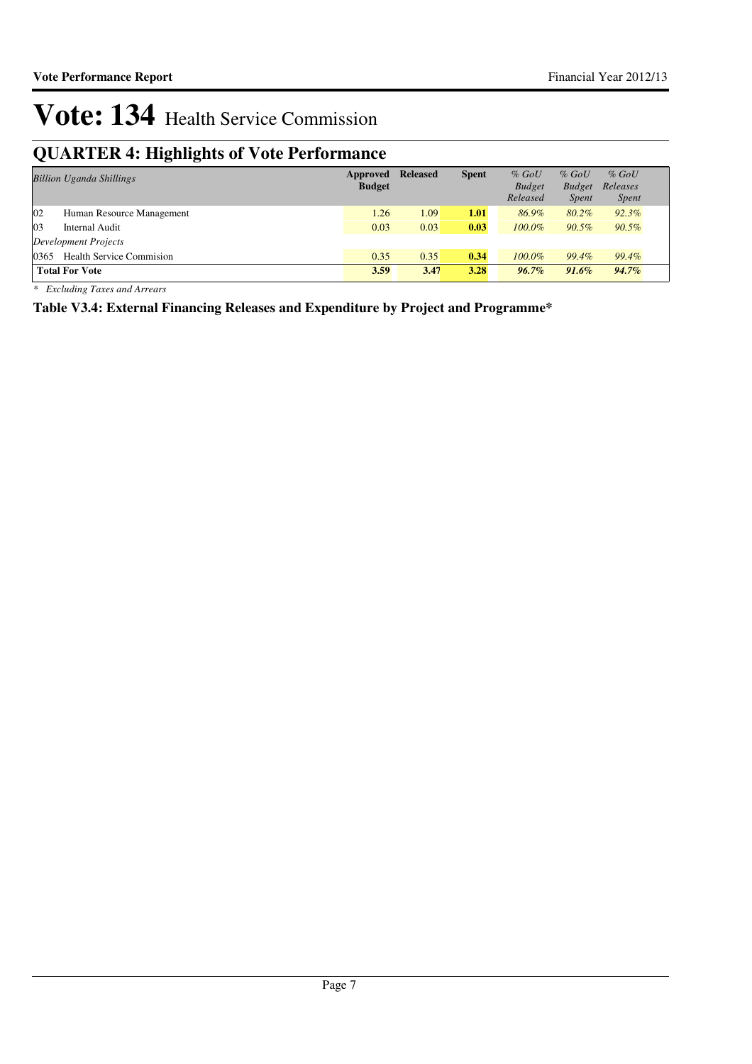## **QUARTER 4: Highlights of Vote Performance**

|      | <b>Billion Uganda Shillings</b>  | Approved<br><b>Budget</b> | <b>Released</b> | <b>Spent</b> | $%$ GoU<br><b>Budget</b><br>Released | $%$ GoU<br><b>Budget</b><br><i>Spent</i> | $%$ GoU<br>Releases<br><i>Spent</i> |
|------|----------------------------------|---------------------------|-----------------|--------------|--------------------------------------|------------------------------------------|-------------------------------------|
| 02   | Human Resource Management        | 1.26                      | 1.09            | 1.01         | 86.9%                                | $80.2\%$                                 | $92.3\%$                            |
| 03   | Internal Audit                   | 0.03                      | 0.03            | 0.03         | $100.0\%$                            | $90.5\%$                                 | 90.5%                               |
|      | Development Projects             |                           |                 |              |                                      |                                          |                                     |
| 0365 | <b>Health Service Commission</b> | 0.35                      | 0.35            | 0.34         | $100.0\%$                            | 99.4%                                    | 99.4%                               |
|      | <b>Total For Vote</b>            | 3.59                      | 3.47            | 3.28         | $96.7\%$                             | $91.6\%$                                 | $94.7\%$                            |

*\* Excluding Taxes and Arrears*

**Table V3.4: External Financing Releases and Expenditure by Project and Programme\***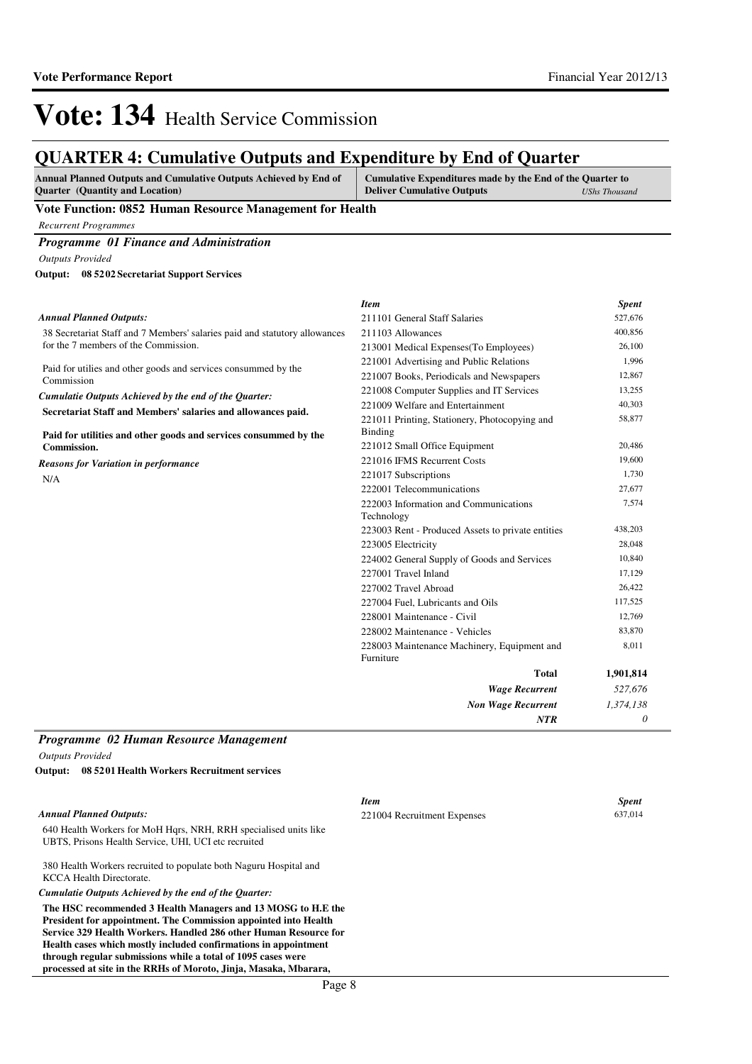## **QUARTER 4: Cumulative Outputs and Expenditure by End of Quarter**

| <b>Annual Planned Outputs and Cumulative Outputs Achieved by End of</b> | Cumulative Expenditures made by the End of the Quarter to |               |
|-------------------------------------------------------------------------|-----------------------------------------------------------|---------------|
| <b>Ouarter</b> (Quantity and Location)                                  | <b>Deliver Cumulative Outputs</b>                         | UShs Thousand |

### **Vote Function: 0852 Human Resource Management for Health**

*Recurrent Programmes*

*Programme 01 Finance and Administration*

*Outputs Provided*

**08 5202 Secretariat Support Services Output:**

|                                                                              | <b>Item</b>                                              | <b>Spent</b> |
|------------------------------------------------------------------------------|----------------------------------------------------------|--------------|
| <b>Annual Planned Outputs:</b>                                               | 211101 General Staff Salaries                            | 527,676      |
| 38 Secretariat Staff and 7 Members' salaries paid and statutory allowances   | 211103 Allowances                                        | 400,856      |
| for the 7 members of the Commission.                                         | 213001 Medical Expenses (To Employees)                   | 26,100       |
|                                                                              | 221001 Advertising and Public Relations                  | 1,996        |
| Paid for utilies and other goods and services consummed by the<br>Commission | 221007 Books, Periodicals and Newspapers                 | 12,867       |
| Cumulatie Outputs Achieved by the end of the Quarter:                        | 221008 Computer Supplies and IT Services                 | 13,255       |
| Secretariat Staff and Members' salaries and allowances paid.                 | 221009 Welfare and Entertainment                         | 40,303       |
|                                                                              | 221011 Printing, Stationery, Photocopying and            | 58,877       |
| Paid for utilities and other goods and services consummed by the             | <b>Binding</b>                                           |              |
| <b>Commission.</b>                                                           | 221012 Small Office Equipment                            | 20,486       |
| <b>Reasons for Variation in performance</b>                                  | 221016 IFMS Recurrent Costs                              | 19,600       |
| N/A                                                                          | 221017 Subscriptions                                     | 1,730        |
|                                                                              | 222001 Telecommunications                                | 27,677       |
|                                                                              | 222003 Information and Communications<br>Technology      | 7,574        |
|                                                                              | 223003 Rent - Produced Assets to private entities        | 438,203      |
|                                                                              | 223005 Electricity                                       | 28,048       |
|                                                                              | 224002 General Supply of Goods and Services              | 10,840       |
|                                                                              | 227001 Travel Inland                                     | 17,129       |
|                                                                              | 227002 Travel Abroad                                     | 26,422       |
|                                                                              | 227004 Fuel, Lubricants and Oils                         | 117,525      |
|                                                                              | 228001 Maintenance - Civil                               | 12,769       |
|                                                                              | 228002 Maintenance - Vehicles                            | 83,870       |
|                                                                              | 228003 Maintenance Machinery, Equipment and<br>Furniture | 8,011        |
|                                                                              | Total                                                    | 1,901,814    |
|                                                                              | <b>Wage Recurrent</b>                                    | 527,676      |
|                                                                              | <b>Non Wage Recurrent</b>                                | 1,374,138    |
|                                                                              | <b>NTR</b>                                               | 0            |
|                                                                              |                                                          |              |

### *Programme 02 Human Resource Management Outputs Provided*

**08 5201 Health Workers Recruitment services Output:**

### *Annual Planned Outputs:*

640 Health Workers for MoH Hqrs, NRH, RRH specialised units like UBTS, Prisons Health Service, UHI, UCI etc recruited

380 Health Workers recruited to populate both Naguru Hospital and KCCA Health Directorate.

*Cumulatie Outputs Achieved by the end of the Quarter:*

**The HSC recommended 3 Health Managers and 13 MOSG to H.E the President for appointment. The Commission appointed into Health Service 329 Health Workers. Handled 286 other Human Resource for Health cases which mostly included confirmations in appointment through regular submissions while a total of 1095 cases were processed at site in the RRHs of Moroto, Jinja, Masaka, Mbarara,** 

*Item Spent* 221004 Recruitment Expenses 637,014

Page 8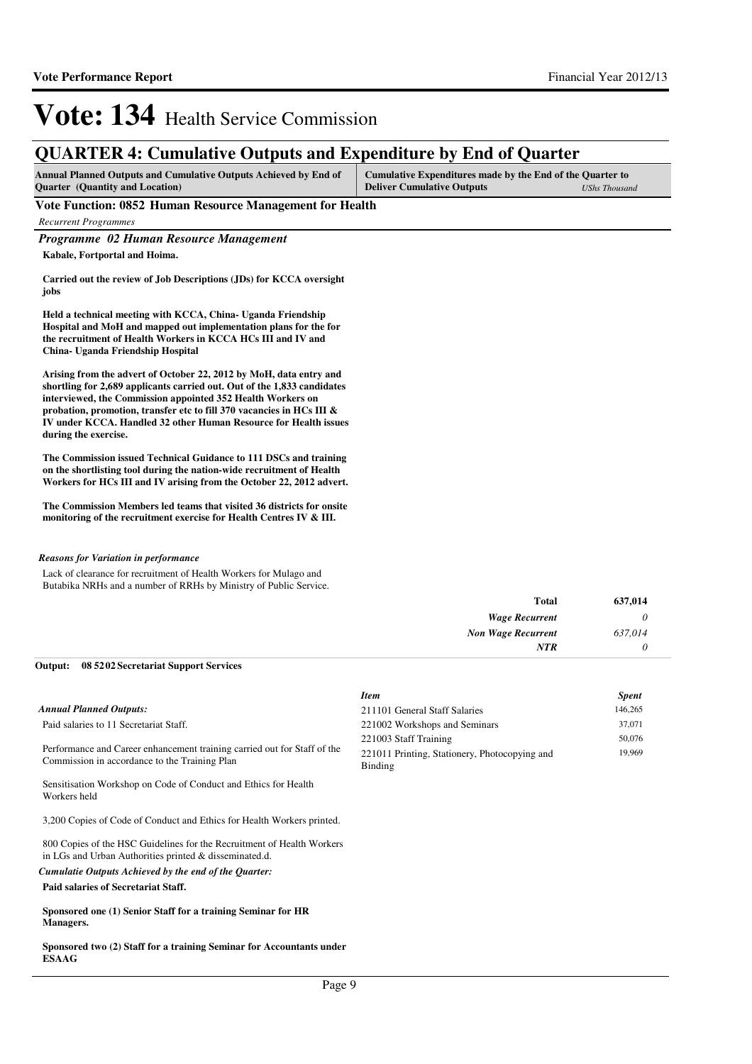## **QUARTER 4: Cumulative Outputs and Expenditure by End of Quarter**

| <b>Annual Planned Outputs and Cumulative Outputs Achieved by End of</b> | Cumulative Expenditures made by the End of the Quarter to |                      |
|-------------------------------------------------------------------------|-----------------------------------------------------------|----------------------|
| <b>Ouarter</b> (Quantity and Location)                                  | <b>Deliver Cumulative Outputs</b>                         | <b>UShs Thousand</b> |

### **Vote Function: 0852 Human Resource Management for Health**

*Recurrent Programmes*

*Programme 02 Human Resource Management*

**Kabale, Fortportal and Hoima.**

**Carried out the review of Job Descriptions (JDs) for KCCA oversight jobs**

**Held a technical meeting with KCCA, China- Uganda Friendship Hospital and MoH and mapped out implementation plans for the for the recruitment of Health Workers in KCCA HCs III and IV and China- Uganda Friendship Hospital**

**Arising from the advert of October 22, 2012 by MoH, data entry and shortling for 2,689 applicants carried out. Out of the 1,833 candidates interviewed, the Commission appointed 352 Health Workers on probation, promotion, transfer etc to fill 370 vacancies in HCs III & IV under KCCA. Handled 32 other Human Resource for Health issues during the exercise.** 

**The Commission issued Technical Guidance to 111 DSCs and training on the shortlisting tool during the nation-wide recruitment of Health Workers for HCs III and IV arising from the October 22, 2012 advert.**

**The Commission Members led teams that visited 36 districts for onsite monitoring of the recruitment exercise for Health Centres IV & III.**

### *Reasons for Variation in performance*

Lack of clearance for recruitment of Health Workers for Mulago and Butabika NRHs and a number of RRHs by Ministry of Public Service.

| 637,014 | <b>Total</b>              |
|---------|---------------------------|
|         | <b>Wage Recurrent</b>     |
| 637,014 | <b>Non Wage Recurrent</b> |
|         | <b>NTR</b>                |

### **08 5202 Secretariat Support Services Output:**

|                                                                                                                           | <b>Item</b>                                                                       | <b>Spent</b>     |
|---------------------------------------------------------------------------------------------------------------------------|-----------------------------------------------------------------------------------|------------------|
| Annual Planned Outputs:                                                                                                   | 211101 General Staff Salaries                                                     | 146,265          |
| Paid salaries to 11 Secretariat Staff.                                                                                    | 221002 Workshops and Seminars                                                     | 37,071           |
| Performance and Career enhancement training carried out for Staff of the<br>Commission in accordance to the Training Plan | 221003 Staff Training<br>221011 Printing, Stationery, Photocopying and<br>Binding | 50,076<br>19,969 |
| Sensitisation Workshop on Code of Conduct and Ethics for Health<br>Workers held                                           |                                                                                   |                  |

3,200 Copies of Code of Conduct and Ethics for Health Workers printed.

800 Copies of the HSC Guidelines for the Recruitment of Health Workers in LGs and Urban Authorities printed & disseminated.d.

**Paid salaries of Secretariat Staff.** *Cumulatie Outputs Achieved by the end of the Quarter:*

**Sponsored one (1) Senior Staff for a training Seminar for HR Managers.**

**Sponsored two (2) Staff for a training Seminar for Accountants under ESAAG**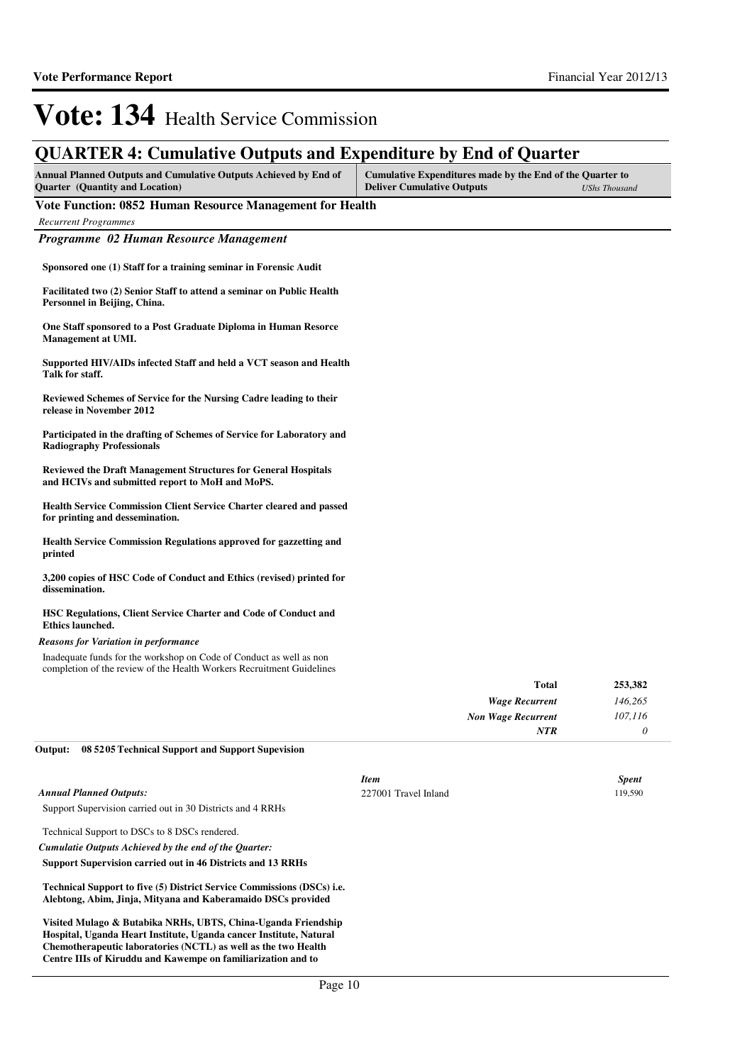## **QUARTER 4: Cumulative Outputs and Expenditure by End of Quarter**

| ∼                                                                                                                                                                         |                                                                                                |                      |
|---------------------------------------------------------------------------------------------------------------------------------------------------------------------------|------------------------------------------------------------------------------------------------|----------------------|
| <b>Annual Planned Outputs and Cumulative Outputs Achieved by End of</b><br><b>Ouarter</b> (Quantity and Location)                                                         | Cumulative Expenditures made by the End of the Quarter to<br><b>Deliver Cumulative Outputs</b> | <b>UShs Thousand</b> |
| Vote Function: 0852 Human Resource Management for Health                                                                                                                  |                                                                                                |                      |
| <b>Recurrent Programmes</b>                                                                                                                                               |                                                                                                |                      |
| Programme 02 Human Resource Management                                                                                                                                    |                                                                                                |                      |
| Sponsored one (1) Staff for a training seminar in Forensic Audit<br>Facilitated two (2) Senior Staff to attend a seminar on Public Health<br>Personnel in Beijing, China. |                                                                                                |                      |
| One Staff sponsored to a Post Graduate Diploma in Human Resorce<br>Management at UMI.                                                                                     |                                                                                                |                      |
| Supported HIV/AIDs infected Staff and held a VCT season and Health<br>Talk for staff.                                                                                     |                                                                                                |                      |

**Reviewed Schemes of Service for the Nursing Cadre leading to their release in November 2012**

**Participated in the drafting of Schemes of Service for Laboratory and Radiography Professionals**

**Reviewed the Draft Management Structures for General Hospitals and HCIVs and submitted report to MoH and MoPS.**

**Health Service Commission Client Service Charter cleared and passed for printing and dessemination.**

**Health Service Commission Regulations approved for gazzetting and printed**

**3,200 copies of HSC Code of Conduct and Ethics (revised) printed for dissemination.**

**HSC Regulations, Client Service Charter and Code of Conduct and Ethics launched.**

### *Reasons for Variation in performance*

Inadequate funds for the workshop on Code of Conduct as well as non completion of the review of the Health Workers Recruitment Guidelines

| 253,382 |
|---------|
| 146,265 |
| 107,116 |
|         |
|         |

**08 5205 Technical Support and Support Supevision Output:**

|                                                                        | <b>Item</b>          | <b>Spent</b> |
|------------------------------------------------------------------------|----------------------|--------------|
| Annual Planned Outputs:                                                | 227001 Travel Inland | 119,590      |
| Support Supervision carried out in 30 Districts and 4 RRHs             |                      |              |
| Technical Support to DSCs to 8 DSCs rendered.                          |                      |              |
| Cumulatie Outputs Achieved by the end of the Ouarter:                  |                      |              |
| Support Supervision carried out in 46 Districts and 13 RRHs            |                      |              |
| Technical Support to five (5) District Service Commissions (DSCs) i.e. |                      |              |
| Alebtong, Abim, Jinja, Mityana and Kaberamaido DSCs provided           |                      |              |
| Visited Mulago & Butabika NRHs, UBTS, China-Uganda Friendship          |                      |              |
| Hospital, Uganda Heart Institute, Uganda cancer Institute, Natural     |                      |              |
| Chemotherapeutic laboratories (NCTL) as well as the two Health         |                      |              |

**Centre IIIs of Kiruddu and Kawempe on familiarization and to**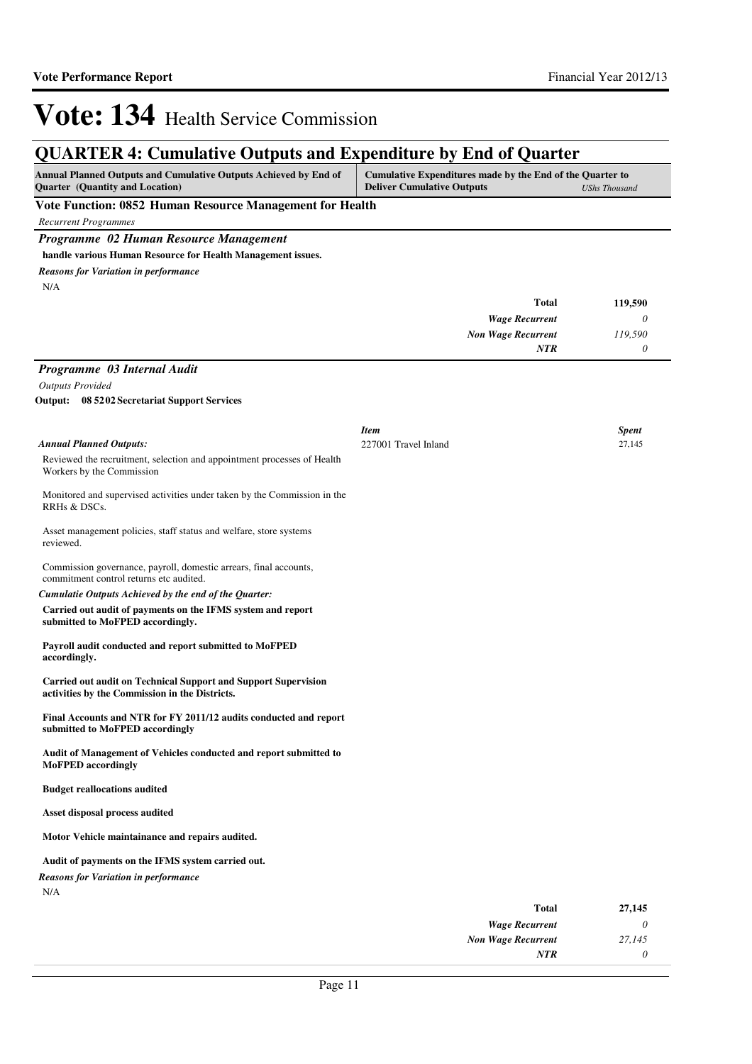| Annual Planned Outputs and Cumulative Outputs Achieved by End of                                                        | <b>QUARTER 4: Cumulative Outputs and Expenditure by End of Quarter</b><br>Cumulative Expenditures made by the End of the Quarter to |                           |                        |
|-------------------------------------------------------------------------------------------------------------------------|-------------------------------------------------------------------------------------------------------------------------------------|---------------------------|------------------------|
| Quarter (Quantity and Location)                                                                                         | <b>Deliver Cumulative Outputs</b>                                                                                                   |                           | <b>UShs Thousand</b>   |
| Vote Function: 0852 Human Resource Management for Health                                                                |                                                                                                                                     |                           |                        |
| <b>Recurrent Programmes</b>                                                                                             |                                                                                                                                     |                           |                        |
| Programme 02 Human Resource Management                                                                                  |                                                                                                                                     |                           |                        |
| handle various Human Resource for Health Management issues.                                                             |                                                                                                                                     |                           |                        |
| <b>Reasons for Variation in performance</b>                                                                             |                                                                                                                                     |                           |                        |
| N/A                                                                                                                     |                                                                                                                                     |                           |                        |
|                                                                                                                         |                                                                                                                                     | <b>Total</b>              | 119,590                |
|                                                                                                                         |                                                                                                                                     | <b>Wage Recurrent</b>     | 0                      |
|                                                                                                                         |                                                                                                                                     | <b>Non Wage Recurrent</b> | 119,590                |
|                                                                                                                         |                                                                                                                                     | <b>NTR</b>                | 0                      |
| Programme 03 Internal Audit                                                                                             |                                                                                                                                     |                           |                        |
| <b>Outputs Provided</b>                                                                                                 |                                                                                                                                     |                           |                        |
| <b>Output:</b> 08 52 02 Secretariat Support Services                                                                    |                                                                                                                                     |                           |                        |
|                                                                                                                         |                                                                                                                                     |                           |                        |
| <b>Annual Planned Outputs:</b>                                                                                          | Item<br>227001 Travel Inland                                                                                                        |                           | <b>Spent</b><br>27,145 |
| Reviewed the recruitment, selection and appointment processes of Health                                                 |                                                                                                                                     |                           |                        |
| Workers by the Commission                                                                                               |                                                                                                                                     |                           |                        |
| Monitored and supervised activities under taken by the Commission in the<br>RRHs & DSCs.                                |                                                                                                                                     |                           |                        |
| Asset management policies, staff status and welfare, store systems<br>reviewed.                                         |                                                                                                                                     |                           |                        |
| Commission governance, payroll, domestic arrears, final accounts,<br>commitment control returns etc audited.            |                                                                                                                                     |                           |                        |
| Cumulatie Outputs Achieved by the end of the Quarter:                                                                   |                                                                                                                                     |                           |                        |
| Carried out audit of payments on the IFMS system and report<br>submitted to MoFPED accordingly.                         |                                                                                                                                     |                           |                        |
| Payroll audit conducted and report submitted to MoFPED<br>accordingly.                                                  |                                                                                                                                     |                           |                        |
| <b>Carried out audit on Technical Support and Support Supervision</b><br>activities by the Commission in the Districts. |                                                                                                                                     |                           |                        |
| Final Accounts and NTR for FY 2011/12 audits conducted and report<br>submitted to MoFPED accordingly                    |                                                                                                                                     |                           |                        |
| Audit of Management of Vehicles conducted and report submitted to<br><b>MoFPED</b> accordingly                          |                                                                                                                                     |                           |                        |
| <b>Budget reallocations audited</b>                                                                                     |                                                                                                                                     |                           |                        |
| Asset disposal process audited                                                                                          |                                                                                                                                     |                           |                        |
| Motor Vehicle maintainance and repairs audited.                                                                         |                                                                                                                                     |                           |                        |
| Audit of payments on the IFMS system carried out.                                                                       |                                                                                                                                     |                           |                        |
| <b>Reasons for Variation in performance</b>                                                                             |                                                                                                                                     |                           |                        |
| N/A                                                                                                                     |                                                                                                                                     |                           |                        |
|                                                                                                                         |                                                                                                                                     | <b>Total</b>              | 27,145                 |

| ------                    | ----     |
|---------------------------|----------|
| <b>Wage Recurrent</b>     | $\theta$ |
| <b>Non Wage Recurrent</b> | 27.145   |
| NTR                       | 0        |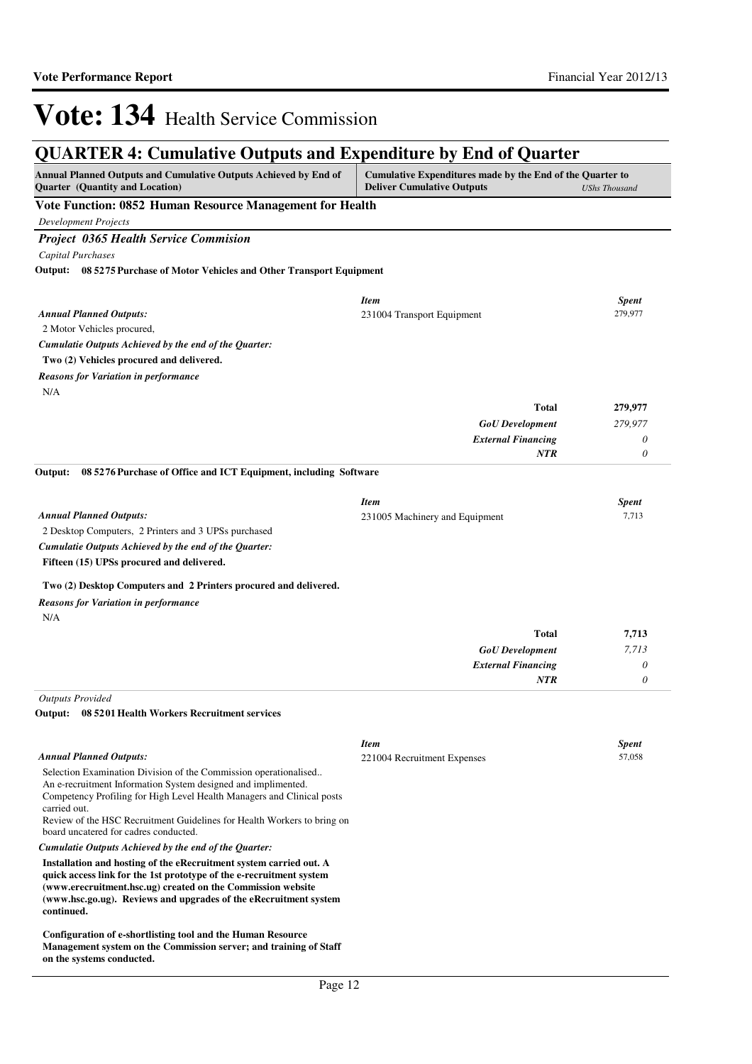**on the systems conducted.**

# Vote: 134 Health Service Commission

## **QUARTER 4: Cumulative Outputs and Expenditure by End of Quarter**

| QUANTEN 4. Cumulative Outputs and Expenditure by Eind of Quarter<br>Annual Planned Outputs and Cumulative Outputs Achieved by End of<br>Cumulative Expenditures made by the End of the Quarter to |                                           |                         |
|---------------------------------------------------------------------------------------------------------------------------------------------------------------------------------------------------|-------------------------------------------|-------------------------|
| Quarter (Quantity and Location)                                                                                                                                                                   | <b>Deliver Cumulative Outputs</b>         | <b>UShs Thousand</b>    |
| Vote Function: 0852 Human Resource Management for Health                                                                                                                                          |                                           |                         |
| <b>Development Projects</b>                                                                                                                                                                       |                                           |                         |
| <b>Project 0365 Health Service Commision</b>                                                                                                                                                      |                                           |                         |
| Capital Purchases                                                                                                                                                                                 |                                           |                         |
| Output: 08 5275 Purchase of Motor Vehicles and Other Transport Equipment                                                                                                                          |                                           |                         |
|                                                                                                                                                                                                   |                                           |                         |
| <b>Annual Planned Outputs:</b>                                                                                                                                                                    | <b>Item</b><br>231004 Transport Equipment | <b>Spent</b><br>279,977 |
| 2 Motor Vehicles procured,                                                                                                                                                                        |                                           |                         |
| Cumulatie Outputs Achieved by the end of the Quarter:                                                                                                                                             |                                           |                         |
| Two (2) Vehicles procured and delivered.                                                                                                                                                          |                                           |                         |
| <b>Reasons for Variation in performance</b>                                                                                                                                                       |                                           |                         |
| N/A                                                                                                                                                                                               |                                           |                         |
|                                                                                                                                                                                                   | <b>Total</b>                              | 279,977                 |
|                                                                                                                                                                                                   | <b>GoU</b> Development                    | 279,977                 |
|                                                                                                                                                                                                   | <b>External Financing</b>                 | 0                       |
|                                                                                                                                                                                                   | NTR                                       | 0                       |
| 08 5276 Purchase of Office and ICT Equipment, including Software<br>Output:                                                                                                                       |                                           |                         |
|                                                                                                                                                                                                   |                                           |                         |
|                                                                                                                                                                                                   | <b>Item</b>                               | <b>Spent</b>            |
| <b>Annual Planned Outputs:</b><br>2 Desktop Computers, 2 Printers and 3 UPSs purchased                                                                                                            | 231005 Machinery and Equipment            | 7,713                   |
| Cumulatie Outputs Achieved by the end of the Quarter:                                                                                                                                             |                                           |                         |
| Fifteen (15) UPSs procured and delivered.                                                                                                                                                         |                                           |                         |
|                                                                                                                                                                                                   |                                           |                         |
| Two (2) Desktop Computers and 2 Printers procured and delivered.                                                                                                                                  |                                           |                         |
| <b>Reasons for Variation in performance</b>                                                                                                                                                       |                                           |                         |
| N/A                                                                                                                                                                                               |                                           |                         |
|                                                                                                                                                                                                   | <b>Total</b>                              | 7,713                   |
|                                                                                                                                                                                                   | <b>GoU</b> Development                    | 7,713                   |
|                                                                                                                                                                                                   | <b>External Financing</b><br>NTR          | 0<br>$\theta$           |
|                                                                                                                                                                                                   |                                           |                         |
| <b>Outputs Provided</b><br>Output: 08 5201 Health Workers Recruitment services                                                                                                                    |                                           |                         |
|                                                                                                                                                                                                   |                                           |                         |
|                                                                                                                                                                                                   | <b>Item</b>                               | <b>Spent</b>            |
| <b>Annual Planned Outputs:</b>                                                                                                                                                                    | 221004 Recruitment Expenses               | 57.058                  |
| Selection Examination Division of the Commission operationalised                                                                                                                                  |                                           |                         |
| An e-recruitment Information System designed and implimented.<br>Competency Profiling for High Level Health Managers and Clinical posts                                                           |                                           |                         |
| carried out.                                                                                                                                                                                      |                                           |                         |
| Review of the HSC Recruitment Guidelines for Health Workers to bring on                                                                                                                           |                                           |                         |
| board uncatered for cadres conducted.                                                                                                                                                             |                                           |                         |
| Cumulatie Outputs Achieved by the end of the Quarter:<br>Installation and hosting of the eRecruitment system carried out. A                                                                       |                                           |                         |
| quick access link for the 1st prototype of the e-recruitment system                                                                                                                               |                                           |                         |
| (www.erecruitment.hsc.ug) created on the Commission website                                                                                                                                       |                                           |                         |
| (www.hsc.go.ug). Reviews and upgrades of the eRecruitment system<br>continued.                                                                                                                    |                                           |                         |
|                                                                                                                                                                                                   |                                           |                         |
| Configuration of e-shortlisting tool and the Human Resource<br>Management system on the Commission server; and training of Staff                                                                  |                                           |                         |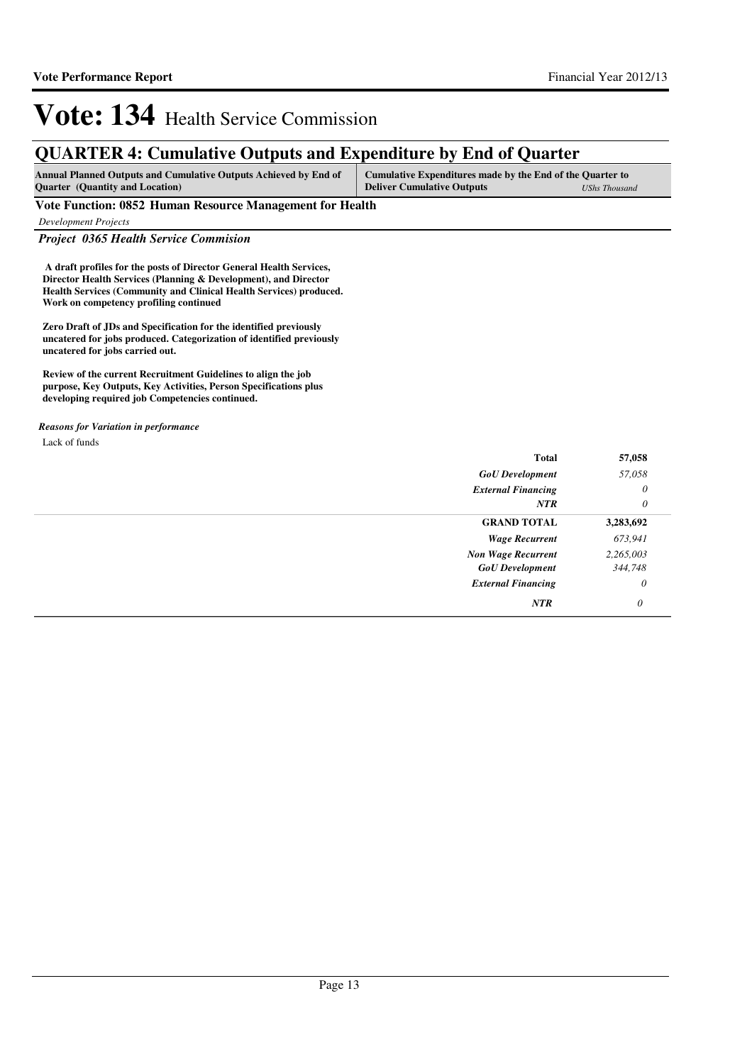## **QUARTER 4: Cumulative Outputs and Expenditure by End of Quarter**

| <b>Annual Planned Outputs and Cumulative Outputs Achieved by End of</b> | Cumulative Expenditures made by the End of the Quarter to |               |
|-------------------------------------------------------------------------|-----------------------------------------------------------|---------------|
| <b>Quarter</b> (Quantity and Location)                                  | <b>Deliver Cumulative Outputs</b>                         | UShs Thousand |

### **Vote Function: 0852 Human Resource Management for Health**

*Development Projects*

*Project 0365 Health Service Commision*

 **A draft profiles for the posts of Director General Health Services, Director Health Services (Planning & Development), and Director Health Services (Community and Clinical Health Services) produced. Work on competency profiling continued**

**Zero Draft of JDs and Specification for the identified previously uncatered for jobs produced. Categorization of identified previously uncatered for jobs carried out.**

**Review of the current Recruitment Guidelines to align the job purpose, Key Outputs, Key Activities, Person Specifications plus developing required job Competencies continued.**

### Lack of funds *Reasons for Variation in performance*

| <b>Total</b>              | 57,058    |
|---------------------------|-----------|
| <b>GoU</b> Development    | 57,058    |
| <b>External Financing</b> | 0         |
| <b>NTR</b>                | $\theta$  |
| <b>GRAND TOTAL</b>        | 3,283,692 |
| <b>Wage Recurrent</b>     | 673,941   |
| <b>Non Wage Recurrent</b> | 2,265,003 |
| <b>GoU</b> Development    | 344,748   |
| <b>External Financing</b> | $\theta$  |
| <b>NTR</b>                | $\theta$  |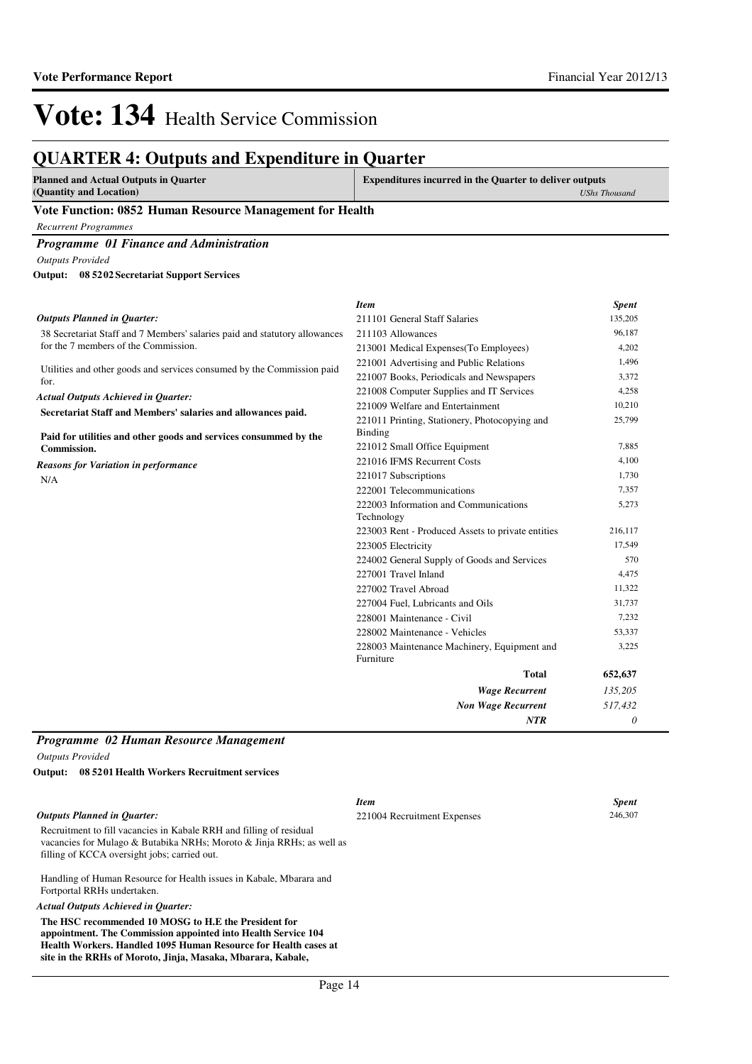**Experiments** *UShs Thousand*

# Vote: 134 Health Service Commission

## **QUARTER 4: Outputs and Expenditure in Quarter**

### **Vote Function: 0852 Human Resource Management for Health**

*Recurrent Programmes*

*Programme 01 Finance and Administration*

*Outputs Provided*

**08 5202 Secretariat Support Services Output:**

| <b>Item</b>                                              | <b>Spent</b>                                                                                 |
|----------------------------------------------------------|----------------------------------------------------------------------------------------------|
| 211101 General Staff Salaries                            | 135,205                                                                                      |
| 211103 Allowances                                        | 96,187                                                                                       |
| 213001 Medical Expenses (To Employees)                   | 4,202                                                                                        |
| 221001 Advertising and Public Relations                  | 1,496                                                                                        |
| 221007 Books, Periodicals and Newspapers                 | 3,372                                                                                        |
| 221008 Computer Supplies and IT Services                 | 4,258                                                                                        |
| 221009 Welfare and Entertainment                         | 10,210                                                                                       |
| 221011 Printing, Stationery, Photocopying and            | 25,799                                                                                       |
|                                                          |                                                                                              |
|                                                          | 7,885                                                                                        |
|                                                          | 4,100                                                                                        |
| 221017 Subscriptions                                     | 1.730                                                                                        |
| 222001 Telecommunications                                | 7,357                                                                                        |
| 222003 Information and Communications                    | 5,273                                                                                        |
|                                                          |                                                                                              |
| 223003 Rent - Produced Assets to private entities        | 216,117                                                                                      |
| 223005 Electricity                                       | 17.549                                                                                       |
| 224002 General Supply of Goods and Services              | 570                                                                                          |
| 227001 Travel Inland                                     | 4,475                                                                                        |
| 227002 Travel Abroad                                     | 11,322                                                                                       |
| 227004 Fuel, Lubricants and Oils                         | 31,737                                                                                       |
| 228001 Maintenance - Civil                               | 7,232                                                                                        |
| 228002 Maintenance - Vehicles                            | 53,337                                                                                       |
| 228003 Maintenance Machinery, Equipment and<br>Furniture | 3,225                                                                                        |
| <b>Total</b>                                             | 652,637                                                                                      |
| <b>Wage Recurrent</b>                                    | 135,205                                                                                      |
| <b>Non Wage Recurrent</b>                                | 517,432                                                                                      |
| <b>NTR</b>                                               | 0                                                                                            |
|                                                          | <b>Binding</b><br>221012 Small Office Equipment<br>221016 IFMS Recurrent Costs<br>Technology |

### *Programme 02 Human Resource Management Outputs Provided*

**08 5201 Health Workers Recruitment services Output:**

### *Outputs Planned in Quarter:*

Recruitment to fill vacancies in Kabale RRH and filling of residual vacancies for Mulago & Butabika NRHs; Moroto & Jinja RRHs; as well as filling of KCCA oversight jobs; carried out.

Handling of Human Resource for Health issues in Kabale, Mbarara and Fortportal RRHs undertaken.

### *Actual Outputs Achieved in Quarter:*

**The HSC recommended 10 MOSG to H.E the President for appointment. The Commission appointed into Health Service 104 Health Workers. Handled 1095 Human Resource for Health cases at site in the RRHs of Moroto, Jinja, Masaka, Mbarara, Kabale,** 

*Item Spent* 221004 Recruitment Expenses 246,307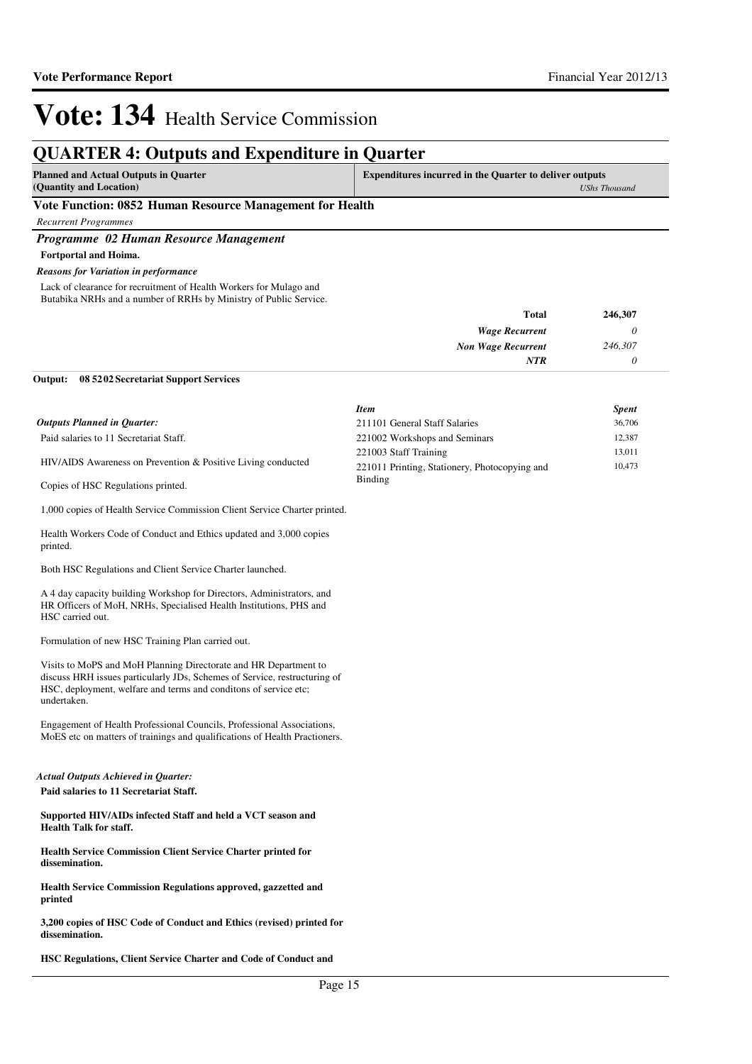## **QUARTER 4: Outputs and Expenditure in Quarter**

| <b>Planned and Actual Outputs in Quarter</b> | <b>Expenditures incurred in the Quarter to deliver outputs</b> |  |
|----------------------------------------------|----------------------------------------------------------------|--|
| (Quantity and Location)                      | UShs Thousand                                                  |  |
| ______<br>the property of the control of the |                                                                |  |

### **Vote Function: 0852 Human Resource Management for Health**

*Recurrent Programmes*

### *Programme 02 Human Resource Management*

**Fortportal and Hoima.**

*Reasons for Variation in performance*

Lack of clearance for recruitment of Health Workers for Mulago and Butabika NRHs and a number of RRHs by Ministry of Public Service.

| Total                     | 246,307 |
|---------------------------|---------|
| <b>Wage Recurrent</b>     | U       |
| <b>Non Wage Recurrent</b> | 246,307 |
| <b>NTR</b>                |         |

### **08 5202 Secretariat Support Services Output:**

Copies of HSC Regulations printed.

|                                                              | <b>Item</b>                                   | <b>Spent</b> |
|--------------------------------------------------------------|-----------------------------------------------|--------------|
| <b>Outputs Planned in Quarter:</b>                           | 211101 General Staff Salaries                 | 36,706       |
| Paid salaries to 11 Secretariat Staff.                       | 221002 Workshops and Seminars                 | 12.387       |
|                                                              | 221003 Staff Training                         | 13.011       |
| HIV/AIDS Awareness on Prevention & Positive Living conducted | 221011 Printing, Stationery, Photocopying and | 10,473       |
|                                                              | Binding                                       |              |

1,000 copies of Health Service Commission Client Service Charter printed.

Health Workers Code of Conduct and Ethics updated and 3,000 copies printed.

Both HSC Regulations and Client Service Charter launched.

A 4 day capacity building Workshop for Directors, Administrators, and HR Officers of MoH, NRHs, Specialised Health Institutions, PHS and HSC carried out.

Formulation of new HSC Training Plan carried out.

Visits to MoPS and MoH Planning Directorate and HR Department to discuss HRH issues particularly JDs, Schemes of Service, restructuring of HSC, deployment, welfare and terms and conditons of service etc; undertaken.

Engagement of Health Professional Councils, Professional Associations, MoES etc on matters of trainings and qualifications of Health Practioners.

## *Actual Outputs Achieved in Quarter:*

**Paid salaries to 11 Secretariat Staff.**

**Supported HIV/AIDs infected Staff and held a VCT season and Health Talk for staff.**

**Health Service Commission Client Service Charter printed for dissemination.**

**Health Service Commission Regulations approved, gazzetted and printed**

**3,200 copies of HSC Code of Conduct and Ethics (revised) printed for dissemination.**

**HSC Regulations, Client Service Charter and Code of Conduct and**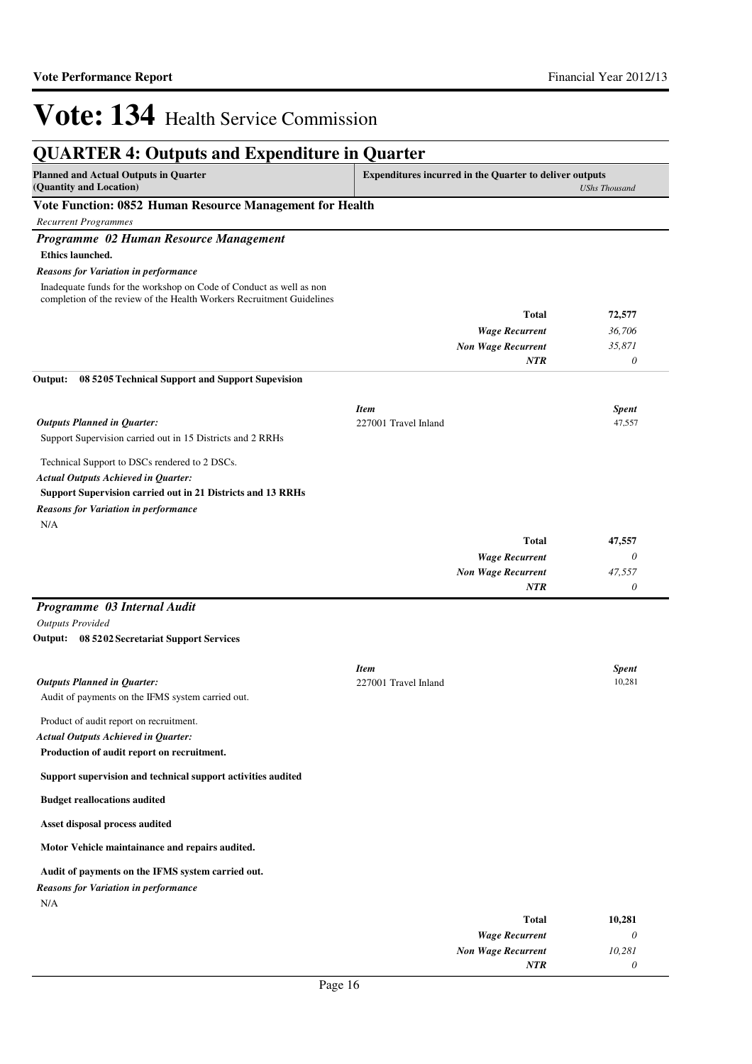### **QUARTER 4: Outputs and Expenditure in Quarter Planned and Actual Outputs in Quarter (Quantity and Location) Expenditures incurred in the Quarter to deliver outputs**  *UShs Thousand* **Vote Function: 0852 Human Resource Management for Health** *Recurrent Programmes Programme 02 Human Resource Management* **Ethics launched.** *Wage Recurrent Non Wage Recurrent* **Total** *36,706 35,871 0* **72,577** *NTR* Inadequate funds for the workshop on Code of Conduct as well as non completion of the review of the Health Workers Recruitment Guidelines *Reasons for Variation in performance* Support Supervision carried out in 15 Districts and 2 RRHs Technical Support to DSCs rendered to 2 DSCs. **Support Supervision carried out in 21 Districts and 13 RRHs 08 5205 Technical Support and Support Supevision** *Wage Recurrent Non Wage Recurrent* **Total** *0 47,557 0* **47,557** *Actual Outputs Achieved in Quarter: Outputs Planned in Quarter:* **Output:** *NTR* N/A *Reasons for Variation in performance Item Spent* 227001 Travel Inland 47,557 *Programme 03 Internal Audit Outputs Provided* Audit of payments on the IFMS system carried out. Product of audit report on recruitment. **Production of audit report on recruitment. Support supervision and technical support activities audited Budget reallocations audited Asset disposal process audited Motor Vehicle maintainance and repairs audited. Audit of payments on the IFMS system carried out. 08 5202 Secretariat Support Services Output: Total 10,281** *Actual Outputs Achieved in Quarter: Outputs Planned in Quarter:* N/A *Reasons for Variation in performance Item Spent* 227001 Travel Inland 10,281

| 10,401 | 1 otal                    |
|--------|---------------------------|
|        | <b>Wage Recurrent</b>     |
| 10,281 | <b>Non Wage Recurrent</b> |
|        | <b>NTR</b>                |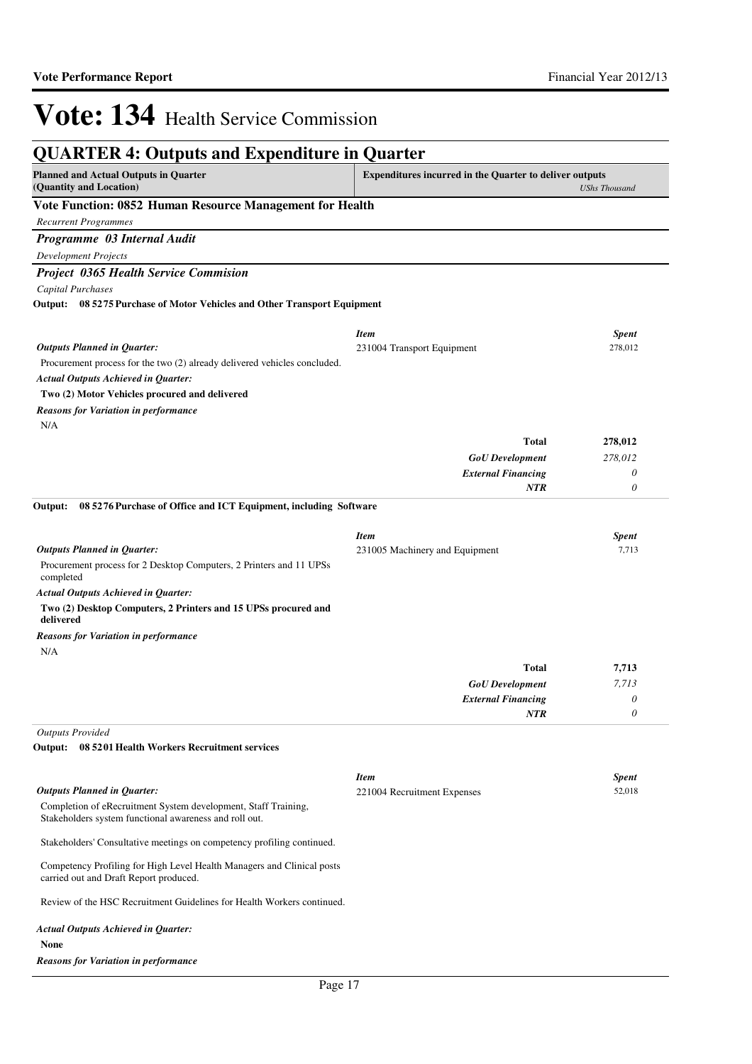| <b>QUARTER 4: Outputs and Expenditure in Quarter</b>                                                                                                              |                                                     |                     |  |
|-------------------------------------------------------------------------------------------------------------------------------------------------------------------|-----------------------------------------------------|---------------------|--|
| <b>Planned and Actual Outputs in Quarter</b><br><b>Expenditures incurred in the Quarter to deliver outputs</b><br>(Quantity and Location)<br><b>UShs Thousand</b> |                                                     |                     |  |
| Vote Function: 0852 Human Resource Management for Health                                                                                                          |                                                     |                     |  |
| <b>Recurrent Programmes</b>                                                                                                                                       |                                                     |                     |  |
| Programme 03 Internal Audit                                                                                                                                       |                                                     |                     |  |
| <b>Development Projects</b>                                                                                                                                       |                                                     |                     |  |
| <b>Project 0365 Health Service Commision</b>                                                                                                                      |                                                     |                     |  |
| Capital Purchases                                                                                                                                                 |                                                     |                     |  |
| Output: 08 5275 Purchase of Motor Vehicles and Other Transport Equipment                                                                                          |                                                     |                     |  |
|                                                                                                                                                                   | <b>Item</b>                                         | <b>Spent</b>        |  |
| <b>Outputs Planned in Quarter:</b>                                                                                                                                | 231004 Transport Equipment                          | 278,012             |  |
| Procurement process for the two (2) already delivered vehicles concluded.<br><b>Actual Outputs Achieved in Quarter:</b>                                           |                                                     |                     |  |
| Two (2) Motor Vehicles procured and delivered                                                                                                                     |                                                     |                     |  |
| <b>Reasons for Variation in performance</b>                                                                                                                       |                                                     |                     |  |
| N/A                                                                                                                                                               |                                                     |                     |  |
|                                                                                                                                                                   | <b>Total</b>                                        | 278,012             |  |
|                                                                                                                                                                   | <b>GoU</b> Development<br><b>External Financing</b> | 278,012<br>$\theta$ |  |
|                                                                                                                                                                   | <b>NTR</b>                                          | 0                   |  |
| 08 5276 Purchase of Office and ICT Equipment, including Software<br>Output:                                                                                       |                                                     |                     |  |
|                                                                                                                                                                   | <b>Item</b>                                         | Spent               |  |
| <b>Outputs Planned in Quarter:</b>                                                                                                                                | 231005 Machinery and Equipment                      | 7,713               |  |
| Procurement process for 2 Desktop Computers, 2 Printers and 11 UPSs<br>completed                                                                                  |                                                     |                     |  |
| <b>Actual Outputs Achieved in Quarter:</b>                                                                                                                        |                                                     |                     |  |
| Two (2) Desktop Computers, 2 Printers and 15 UPSs procured and<br>delivered                                                                                       |                                                     |                     |  |
| <b>Reasons for Variation in performance</b>                                                                                                                       |                                                     |                     |  |
| N/A                                                                                                                                                               |                                                     |                     |  |
|                                                                                                                                                                   | <b>Total</b>                                        | 7,713               |  |
|                                                                                                                                                                   | <b>GoU</b> Development<br><b>External Financing</b> | 7,713<br>$\theta$   |  |
|                                                                                                                                                                   | NTR                                                 | $\theta$            |  |
| <b>Outputs Provided</b>                                                                                                                                           |                                                     |                     |  |
| Output: 08 5201 Health Workers Recruitment services                                                                                                               |                                                     |                     |  |
|                                                                                                                                                                   | <b>Item</b>                                         | Spent               |  |
| <b>Outputs Planned in Quarter:</b>                                                                                                                                | 221004 Recruitment Expenses                         | 52,018              |  |
| Completion of eRecruitment System development, Staff Training,<br>Stakeholders system functional awareness and roll out.                                          |                                                     |                     |  |
| Stakeholders' Consultative meetings on competency profiling continued.                                                                                            |                                                     |                     |  |
| Competency Profiling for High Level Health Managers and Clinical posts<br>carried out and Draft Report produced.                                                  |                                                     |                     |  |
| Review of the HSC Recruitment Guidelines for Health Workers continued.                                                                                            |                                                     |                     |  |
| Actual Outputs Achieved in Quarter:<br>None                                                                                                                       |                                                     |                     |  |

### *Reasons for Variation in performance*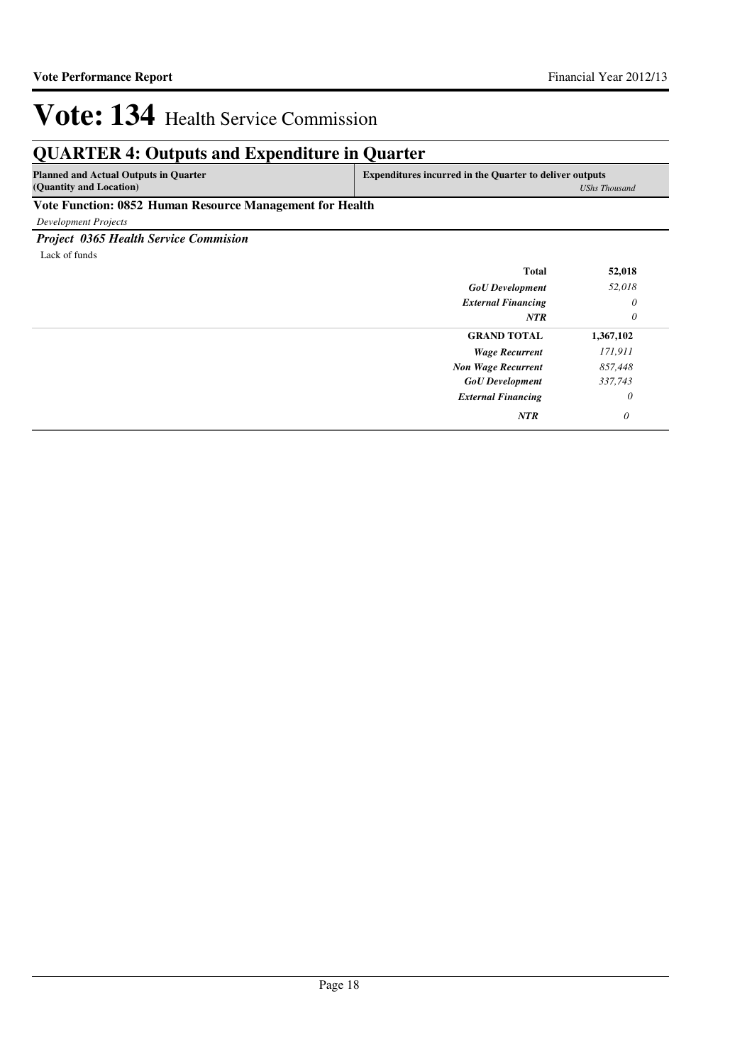*UShs Thousand*

# Vote: 134 Health Service Commission

## **QUARTER 4: Outputs and Expenditure in Quarter**

| <b>Planned and Actual Outputs in Quarter</b> | <b>Expenditures incurred in the Quarter to deliver outputs</b> |
|----------------------------------------------|----------------------------------------------------------------|
| (Quantity and Location)                      | UShs Tl                                                        |

## **Vote Function: 0852 Human Resource Management for Health**

*Development Projects*

## *Project 0365 Health Service Commision*

Lack of funds

| <b>Total</b>              | 52,018    |
|---------------------------|-----------|
| <b>GoU</b> Development    | 52,018    |
| <b>External Financing</b> | 0         |
| <b>NTR</b>                | 0         |
| <b>GRAND TOTAL</b>        | 1,367,102 |
| <b>Wage Recurrent</b>     | 171,911   |
| <b>Non Wage Recurrent</b> | 857,448   |
| <b>GoU</b> Development    | 337,743   |
| <b>External Financing</b> | 0         |
| <b>NTR</b>                | 0         |